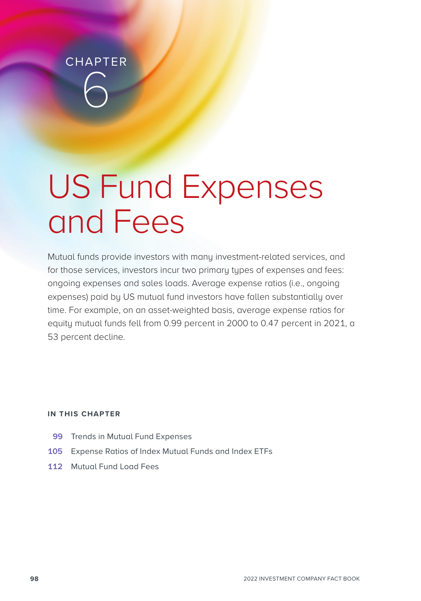**CHAPTER** 6

# US Fund Expenses and Fees

Mutual funds provide investors with many investment-related services, and for those services, investors incur two primary types of expenses and fees: ongoing expenses and sales loads. Average expense ratios (i.e., ongoing expenses) paid by US mutual fund investors have fallen substantially over time. For example, on an asset-weighted basis, average expense ratios for equity mutual funds fell from 0.99 percent in 2000 to 0.47 percent in 2021, a 53 percent decline.

# **IN THIS CHAPTER**

- **99** Trends in Mutual Fund Expenses
- **105** Expense Ratios of Index Mutual Funds and Index ETFs
- **112** Mutual Fund Load Fees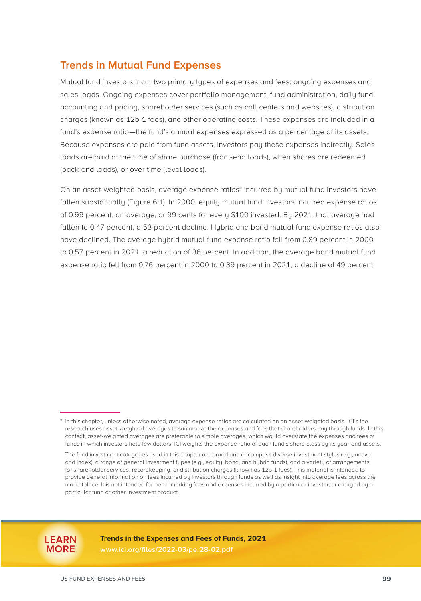# **Trends in Mutual Fund Expenses**

Mutual fund investors incur two primary types of expenses and fees: ongoing expenses and sales loads. Ongoing expenses cover portfolio management, fund administration, daily fund accounting and pricing, shareholder services (such as call centers and websites), distribution charges (known as 12b-1 fees), and other operating costs. These expenses are included in a fund's expense ratio—the fund's annual expenses expressed as a percentage of its assets. Because expenses are paid from fund assets, investors pay these expenses indirectly. Sales loads are paid at the time of share purchase (front-end loads), when shares are redeemed (back-end loads), or over time (level loads).

On an asset-weighted basis, average expense ratios\* incurred by mutual fund investors have fallen substantially (Figure 6.1). In 2000, equity mutual fund investors incurred expense ratios of 0.99 percent, on average, or 99 cents for every \$100 invested. By 2021, that average had fallen to 0.47 percent, a 53 percent decline. Hybrid and bond mutual fund expense ratios also have declined. The average hybrid mutual fund expense ratio fell from 0.89 percent in 2000 to 0.57 percent in 2021, a reduction of 36 percent. In addition, the average bond mutual fund expense ratio fell from 0.76 percent in 2000 to 0.39 percent in 2021, a decline of 49 percent.



**Trends in the Expenses and Fees of Funds, 2021**

**[www.ici.org/files/2022-03/per28-02.pdf](https://www.ici.org/files/2022-03/per28-02.pdf)**

<sup>\*</sup> In this chapter, unless otherwise noted, average expense ratios are calculated on an asset-weighted basis. ICI's fee research uses asset-weighted averages to summarize the expenses and fees that shareholders pay through funds. In this context, asset-weighted averages are preferable to simple averages, which would overstate the expenses and fees of funds in which investors hold few dollars. ICI weights the expense ratio of each fund's share class by its year-end assets.

The fund investment categories used in this chapter are broad and encompass diverse investment styles (e.g., active and index), a range of general investment types (e.g., equity, bond, and hybrid funds), and a variety of arrangements for shareholder services, recordkeeping, or distribution charges (known as 12b-1 fees). This material is intended to provide general information on fees incurred by investors through funds as well as insight into average fees across the marketplace. It is not intended for benchmarking fees and expenses incurred by a particular investor, or charged by a particular fund or other investment product.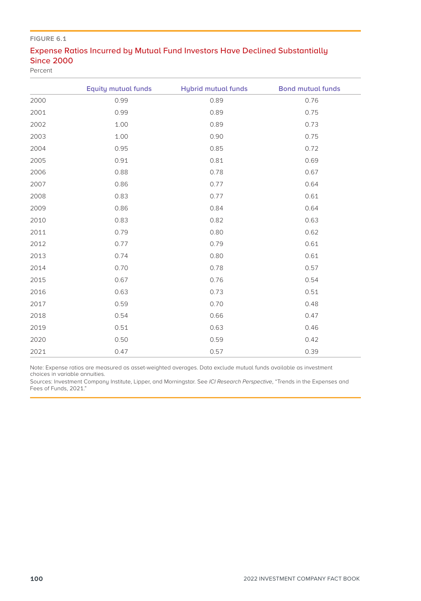# Expense Ratios Incurred by Mutual Fund Investors Have Declined Substantially Since 2000

Percent

|      | <b>Equity mutual funds</b> | <b>Hybrid mutual funds</b> | <b>Bond mutual funds</b> |
|------|----------------------------|----------------------------|--------------------------|
| 2000 | 0.99                       | 0.89                       | 0.76                     |
| 2001 | 0.99                       | 0.89                       | 0.75                     |
| 2002 | 1.00                       | 0.89                       | 0.73                     |
| 2003 | 1.00                       | 0.90                       | 0.75                     |
| 2004 | 0.95                       | 0.85                       | 0.72                     |
| 2005 | 0.91                       | 0.81                       | 0.69                     |
| 2006 | 0.88                       | 0.78                       | 0.67                     |
| 2007 | 0.86                       | 0.77                       | 0.64                     |
| 2008 | 0.83                       | 0.77                       | 0.61                     |
| 2009 | 0.86                       | 0.84                       | 0.64                     |
| 2010 | 0.83                       | 0.82                       | 0.63                     |
| 2011 | 0.79                       | 0.80                       | 0.62                     |
| 2012 | 0.77                       | 0.79                       | 0.61                     |
| 2013 | 0.74                       | 0.80                       | 0.61                     |
| 2014 | 0.70                       | 0.78                       | 0.57                     |
| 2015 | 0.67                       | 0.76                       | 0.54                     |
| 2016 | 0.63                       | 0.73                       | 0.51                     |
| 2017 | 0.59                       | 0.70                       | 0.48                     |
| 2018 | 0.54                       | 0.66                       | 0.47                     |
| 2019 | 0.51                       | 0.63                       | 0.46                     |
| 2020 | 0.50                       | 0.59                       | 0.42                     |
| 2021 | 0.47                       | 0.57                       | 0.39                     |

Note: Expense ratios are measured as asset-weighted averages. Data exclude mutual funds available as investment choices in variable annuities.

Sources: Investment Company Institute, Lipper, and Morningstar. See *ICI Research Perspective*, "Trends in the Expenses and<br>Fees of Funds, 2021."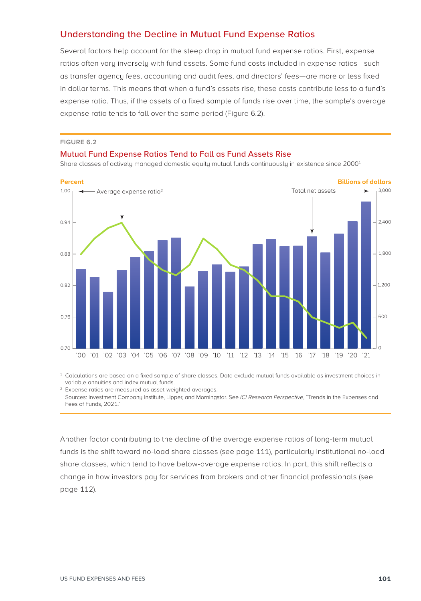# Understanding the Decline in Mutual Fund Expense Ratios

Several factors help account for the steep drop in mutual fund expense ratios. First, expense ratios often vary inversely with fund assets. Some fund costs included in expense ratios—such as transfer agency fees, accounting and audit fees, and directors' fees—are more or less fixed in dollar terms. This means that when a fund's assets rise, these costs contribute less to a fund's expense ratio. Thus, if the assets of a fixed sample of funds rise over time, the sample's average expense ratio tends to fall over the same period (Figure 6.2).

#### **FIGURE 6.2**

#### Mutual Fund Expense Ratios Tend to Fall as Fund Assets Rise

Share classes of actively managed domestic equity mutual funds continuously in existence since 2000<sup>1</sup>



<sup>1</sup> Calculations are based on a fixed sample of share classes. Data exclude mutual funds available as investment choices in variable annuities and index mutual funds.

<sup>2</sup> Expense ratios are measured as asset-weighted averages. Sources: Investment Company Institute, Lipper, and Morningstar. See *ICI Research Perspective*, "Trends in the Expenses and Fees of Funds, 2021."

Another factor contributing to the decline of the average expense ratios of long-term mutual funds is the shift toward no-load share classes (see page 111), particularly institutional no-load share classes, which tend to have below-average expense ratios. In part, this shift reflects a change in how investors pay for services from brokers and other financial professionals (see page 112).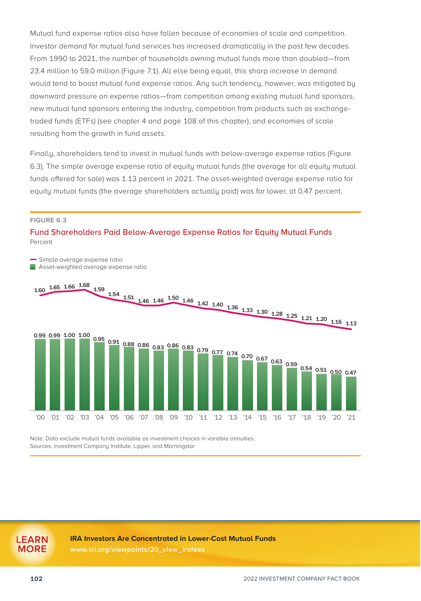Mutual fund expense ratios also have fallen because of economies of scale and competition. Investor demand for mutual fund services has increased dramatically in the past few decades. From 1990 to 2021, the number of households owning mutual funds more than doubled—from 23.4 million to 59.0 million (Figure 7.1). All else being equal, this sharp increase in demand would tend to boost mutual fund expense ratios. Any such tendency, however, was mitigated by downward pressure on expense ratios—from competition among existing mutual fund sponsors, new mutual fund sponsors entering the industry, competition from products such as exchangetraded funds (ETFs) (see chapter 4 and page 108 of this chapter), and economies of scale resulting from the growth in fund assets.

Finally, shareholders tend to invest in mutual funds with below-average expense ratios (Figure 6.3). The simple average expense ratio of equity mutual funds (the average for all equity mutual funds offered for sale) was 1.13 percent in 2021. The asset-weighted average expense ratio for equity mutual funds (the average shareholders actually paid) was far lower, at 0.47 percent.

#### **FIGURE 6.3**

## Fund Shareholders Paid Below-Average Expense Ratios for Equity Mutual Funds Percent



Note: Data exclude mutual funds available as investment choices in variable annuities. Sources: Investment Company Institute, Lipper, and Morningstar

#### **IRA Investors Are Concentrated in Lower-Cost Mutual Funds**

**[www.ici.org/viewpoints/20\\_view\\_irafees](https://www.ici.org/viewpoints/20_view_irafees)**

**LEARN MORE**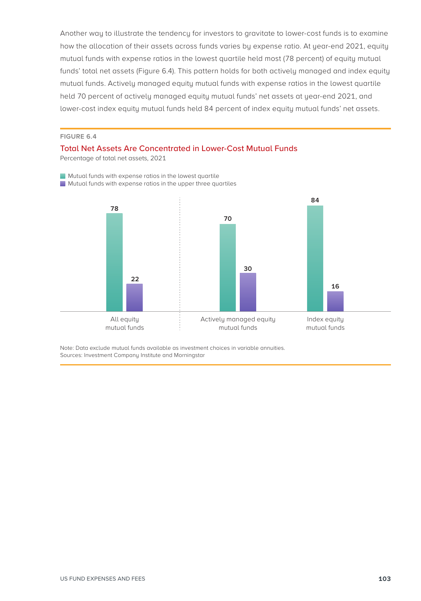Another way to illustrate the tendency for investors to gravitate to lower-cost funds is to examine how the allocation of their assets across funds varies by expense ratio. At year-end 2021, equity mutual funds with expense ratios in the lowest quartile held most (78 percent) of equity mutual funds' total net assets (Figure 6.4). This pattern holds for both actively managed and index equity mutual funds. Actively managed equity mutual funds with expense ratios in the lowest quartile held 70 percent of actively managed equity mutual funds' net assets at year-end 2021, and lower-cost index equity mutual funds held 84 percent of index equity mutual funds' net assets.

### **FIGURE 6.4**

### Total Net Assets Are Concentrated in Lower-Cost Mutual Funds

Percentage of total net assets, 2021

**Mutual funds with expense ratios in the lowest quartile** 





Note: Data exclude mutual funds available as investment choices in variable annuities. Sources: Investment Company Institute and Morningstar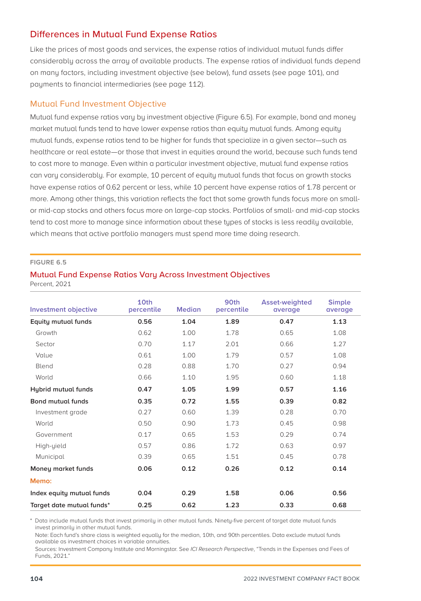# Differences in Mutual Fund Expense Ratios

Like the prices of most goods and services, the expense ratios of individual mutual funds differ considerably across the array of available products. The expense ratios of individual funds depend on many factors, including investment objective (see below), fund assets (see page 101), and payments to financial intermediaries (see page 112).

# Mutual Fund Investment Objective

Mutual fund expense ratios vary by investment objective (Figure 6.5). For example, bond and money market mutual funds tend to have lower expense ratios than equity mutual funds. Among equity mutual funds, expense ratios tend to be higher for funds that specialize in a given sector—such as healthcare or real estate—or those that invest in equities around the world, because such funds tend to cost more to manage. Even within a particular investment objective, mutual fund expense ratios can vary considerably. For example, 10 percent of equity mutual funds that focus on growth stocks have expense ratios of 0.62 percent or less, while 10 percent have expense ratios of 1.78 percent or more. Among other things, this variation reflects the fact that some growth funds focus more on smallor mid-cap stocks and others focus more on large-cap stocks. Portfolios of small- and mid‑cap stocks tend to cost more to manage since information about these types of stocks is less readily available, which means that active portfolio managers must spend more time doing research.

### **FIGURE 6.5**

# Mutual Fund Expense Ratios Vary Across Investment Objectives

Percent, 2021

| <b>Investment objective</b> | 10th<br>percentile | <b>Median</b> | 90th<br>percentile | Asset-weighted<br>average | <b>Simple</b><br>average |
|-----------------------------|--------------------|---------------|--------------------|---------------------------|--------------------------|
| <b>Equity mutual funds</b>  | 0.56               | 1.04          | 1.89               | 0.47                      | 1.13                     |
| Growth                      | 0.62               | 1.00          | 1.78               | 0.65                      | 1.08                     |
| Sector                      | 0.70               | 1.17          | 2.01               | 0.66                      | 1.27                     |
| Value                       | 0.61               | 1.00          | 1.79               | 0.57                      | 1.08                     |
| Blend                       | 0.28               | 0.88          | 1.70               | 0.27                      | 0.94                     |
| World                       | 0.66               | 1.10          | 1.95               | 0.60                      | 1.18                     |
| Hybrid mutual funds         | 0.47               | 1.05          | 1.99               | 0.57                      | 1.16                     |
| <b>Bond mutual funds</b>    | 0.35               | 0.72          | 1.55               | 0.39                      | 0.82                     |
| Investment grade            | 0.27               | 0.60          | 1.39               | 0.28                      | 0.70                     |
| World                       | 0.50               | 0.90          | 1.73               | 0.45                      | 0.98                     |
| Government                  | 0.17               | 0.65          | 1.53               | 0.29                      | 0.74                     |
| High-yield                  | 0.57               | 0.86          | 1.72               | 0.63                      | 0.97                     |
| Municipal                   | 0.39               | 0.65          | 1.51               | 0.45                      | 0.78                     |
| Money market funds          | 0.06               | 0.12          | 0.26               | 0.12                      | 0.14                     |
| Memo:                       |                    |               |                    |                           |                          |
| Index equity mutual funds   | 0.04               | 0.29          | 1.58               | 0.06                      | 0.56                     |
| Target date mutual funds*   | 0.25               | 0.62          | 1.23               | 0.33                      | 0.68                     |

\* Data include mutual funds that invest primarily in other mutual funds. Ninety-five percent of target date mutual funds invest primarily in other mutual funds.

Note: Each fund's share class is weighted equally for the median, 10th, and 90th percentiles. Data exclude mutual funds available as investment choices in variable annuities.

Sources: Investment Company Institute and Morningstar. See *ICI Research Perspective*, "Trends in the Expenses and Fees of Funds, 2021."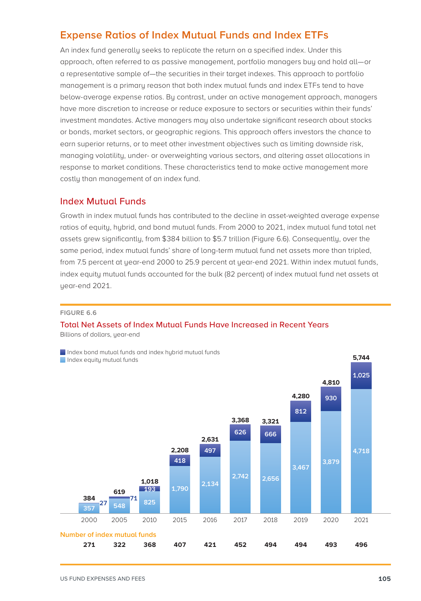# **Expense Ratios of Index Mutual Funds and Index ETFs**

An index fund generally seeks to replicate the return on a specified index. Under this approach, often referred to as passive management, portfolio managers buy and hold all—or a representative sample of—the securities in their target indexes. This approach to portfolio management is a primary reason that both index mutual funds and index ETFs tend to have below-average expense ratios. By contrast, under an active management approach, managers have more discretion to increase or reduce exposure to sectors or securities within their funds' investment mandates. Active managers may also undertake significant research about stocks or bonds, market sectors, or geographic regions. This approach offers investors the chance to earn superior returns, or to meet other investment objectives such as limiting downside risk, managing volatility, under- or overweighting various sectors, and altering asset allocations in response to market conditions. These characteristics tend to make active management more costly than management of an index fund.

# Index Mutual Funds

Growth in index mutual funds has contributed to the decline in asset-weighted average expense ratios of equity, hybrid, and bond mutual funds. From 2000 to 2021, index mutual fund total net assets grew significantly, from \$384 billion to \$5.7 trillion (Figure 6.6). Consequently, over the same period, index mutual funds' share of long-term mutual fund net assets more than tripled, from 7.5 percent at year-end 2000 to 25.9 percent at year-end 2021. Within index mutual funds, index equity mutual funds accounted for the bulk (82 percent) of index mutual fund net assets at year-end 2021.

### **FIGURE 6.6**

# Total Net Assets of Index Mutual Funds Have Increased in Recent Years

Billions of dollars, year-end

Index bond mutual funds and index hybrid mutual funds Index equity mutual funds



**5,744**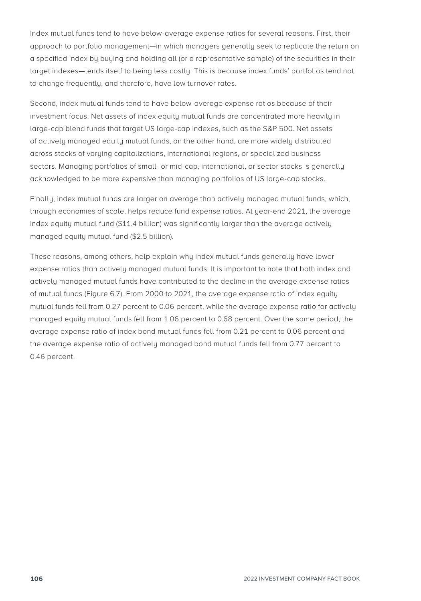Index mutual funds tend to have below-average expense ratios for several reasons. First, their approach to portfolio management—in which managers generally seek to replicate the return on a specified index by buying and holding all (or a representative sample) of the securities in their target indexes—lends itself to being less costly. This is because index funds' portfolios tend not to change frequently, and therefore, have low turnover rates.

Second, index mutual funds tend to have below-average expense ratios because of their investment focus. Net assets of index equity mutual funds are concentrated more heavily in large-cap blend funds that target US large-cap indexes, such as the S&P 500. Net assets of actively managed equity mutual funds, on the other hand, are more widely distributed across stocks of varying capitalizations, international regions, or specialized business sectors. Managing portfolios of small- or mid-cap, international, or sector stocks is generally acknowledged to be more expensive than managing portfolios of US large-cap stocks.

Finally, index mutual funds are larger on average than actively managed mutual funds, which, through economies of scale, helps reduce fund expense ratios. At year-end 2021, the average index equity mutual fund (\$11.4 billion) was significantly larger than the average actively managed equity mutual fund (\$2.5 billion).

These reasons, among others, help explain why index mutual funds generally have lower expense ratios than actively managed mutual funds. It is important to note that both index and actively managed mutual funds have contributed to the decline in the average expense ratios of mutual funds (Figure 6.7). From 2000 to 2021, the average expense ratio of index equity mutual funds fell from 0.27 percent to 0.06 percent, while the average expense ratio for actively managed equity mutual funds fell from 1.06 percent to 0.68 percent. Over the same period, the average expense ratio of index bond mutual funds fell from 0.21 percent to 0.06 percent and the average expense ratio of actively managed bond mutual funds fell from 0.77 percent to 0.46 percent.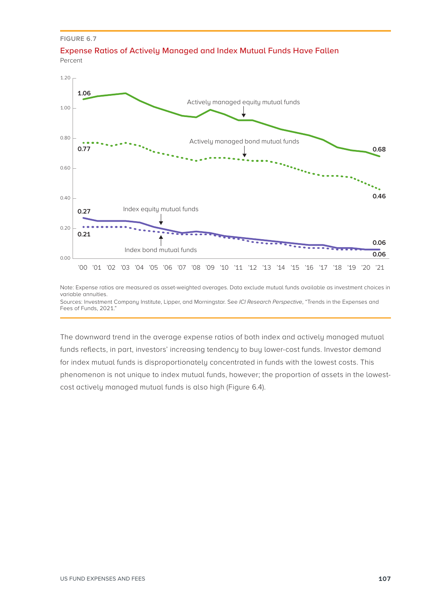**FIGURE 6.7**

Fees of Funds, 2021."





Note: Expense ratios are measured as asset-weighted averages. Data exclude mutual funds available as investment choices in variable annuities. Sources: Investment Company Institute, Lipper, and Morningstar. See *ICI Research Perspective*, "Trends in the Expenses and

The downward trend in the average expense ratios of both index and actively managed mutual funds reflects, in part, investors' increasing tendency to buy lower-cost funds. Investor demand for index mutual funds is disproportionately concentrated in funds with the lowest costs. This phenomenon is not unique to index mutual funds, however; the proportion of assets in the lowestcost actively managed mutual funds is also high (Figure 6.4).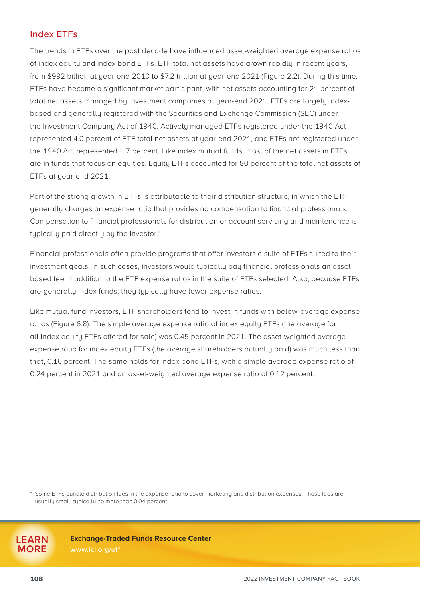# Index ETFs

The trends in ETFs over the past decade have influenced asset-weighted average expense ratios of index equity and index bond ETFs. ETF total net assets have grown rapidly in recent years, from \$992 billion at year-end 2010 to \$7.2 trillion at year-end 2021 (Figure 2.2). During this time, ETFs have become a significant market participant, with net assets accounting for 21 percent of total net assets managed by investment companies at year-end 2021. ETFs are largely indexbased and generally registered with the Securities and Exchange Commission (SEC) under the Investment Company Act of 1940. Actively managed ETFs registered under the 1940 Act represented 4.0 percent of ETF total net assets at year-end 2021, and ETFs not registered under the 1940 Act represented 1.7 percent. Like index mutual funds, most of the net assets in ETFs are in funds that focus on equities. Equity ETFs accounted for 80 percent of the total net assets of ETFs at year-end 2021.

Part of the strong growth in ETFs is attributable to their distribution structure, in which the ETF generally charges an expense ratio that provides no compensation to financial professionals. Compensation to financial professionals for distribution or account servicing and maintenance is typically paid directly by the investor.\*

Financial professionals often provide programs that offer investors a suite of ETFs suited to their investment goals. In such cases, investors would typically pay financial professionals an assetbased fee in addition to the ETF expense ratios in the suite of ETFs selected. Also, because ETFs are generally index funds, they typically have lower expense ratios.

Like mutual fund investors, ETF shareholders tend to invest in funds with below-average expense ratios (Figure 6.8). The simple average expense ratio of index equity ETFs (the average for all index equity ETFs offered for sale) was 0.45 percent in 2021. The asset-weighted average expense ratio for index equity ETFs (the average shareholders actually paid) was much less than that, 0.16 percent. The same holds for index bond ETFs, with a simple average expense ratio of 0.24 percent in 2021 and an asset-weighted average expense ratio of 0.12 percent.

**Exchange-Traded Funds Resource Center**

**[www.ici.org/etf](http://www.ici.org/etf)**

**LEARN MORE**

<sup>\*</sup> Some ETFs bundle distribution fees in the expense ratio to cover marketing and distribution expenses. These fees are usually small, typically no more than 0.04 percent.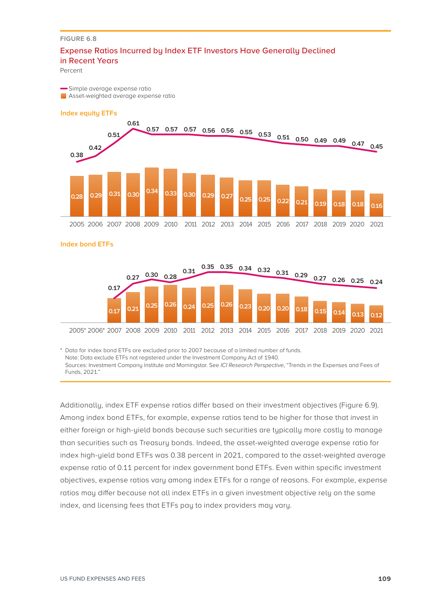### Expense Ratios Incurred by Index ETF Investors Have Generally Declined in Recent Years

Percent

Simple average expense ratio

**Asset-weighted average expense ratio** 



**Index bond ETFs**



\* Data for index bond ETFs are excluded prior to 2007 because of a limited number of funds. Note: Data exclude ETFs not registered under the Investment Company Act of 1940. Sources: Investment Company Institute and Morningstar. See *ICI Research Perspective*, "Trends in the Expenses and Fees of Funds, 2021."

Additionally, index ETF expense ratios differ based on their investment objectives (Figure 6.9). Among index bond ETFs, for example, expense ratios tend to be higher for those that invest in either foreign or high-yield bonds because such securities are typically more costly to manage than securities such as Treasury bonds. Indeed, the asset-weighted average expense ratio for index high-yield bond ETFs was 0.38 percent in 2021, compared to the asset-weighted average expense ratio of 0.11 percent for index government bond ETFs. Even within specific investment objectives, expense ratios vary among index ETFs for a range of reasons. For example, expense ratios may differ because not all index ETFs in a given investment objective rely on the same index, and licensing fees that ETFs pay to index providers may vary.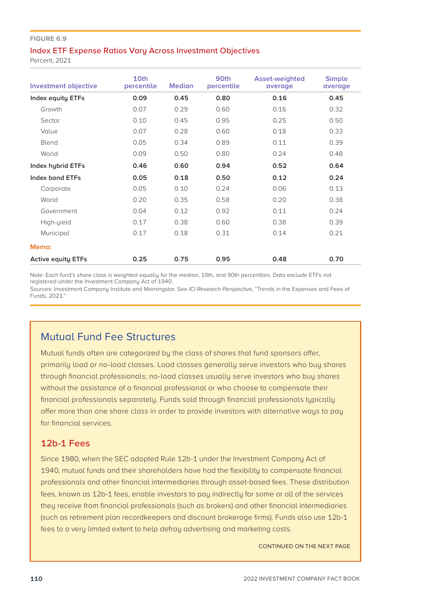### Index ETF Expense Ratios Vary Across Investment Objectives

Percent, 2021

| <b>Investment objective</b> | 10th<br>percentile | <b>Median</b> | 90th<br>percentile | <b>Asset-weighted</b><br>average | <b>Simple</b><br>average |
|-----------------------------|--------------------|---------------|--------------------|----------------------------------|--------------------------|
| <b>Index equity ETFs</b>    | 0.09               | 0.45          | 0.80               | 0.16                             | 0.45                     |
| Growth                      | 0.07               | 0.29          | 0.60               | 0.16                             | 0.32                     |
| Sector                      | 0.10               | 0.45          | 0.95               | 0.25                             | 0.50                     |
| Value                       | 0.07               | 0.28          | 0.60               | 0.18                             | 0.33                     |
| Blend                       | 0.05               | 0.34          | 0.89               | 0.11                             | 0.39                     |
| World                       | 0.09               | 0.50          | 0.80               | 0.24                             | 0.48                     |
| Index hybrid ETFs           | 0.46               | 0.60          | 0.94               | 0.52                             | 0.64                     |
| Index bond ETFs             | 0.05               | 0.18          | 0.50               | 0.12                             | 0.24                     |
| Corporate                   | 0.05               | 0.10          | 0.24               | 0.06                             | 0.13                     |
| World                       | 0.20               | 0.35          | 0.58               | 0.20                             | 0.38                     |
| Government                  | 0.04               | 0.12          | 0.92               | 0.11                             | 0.24                     |
| High-yield                  | 0.17               | 0.38          | 0.60               | 0.38                             | 0.39                     |
| Municipal                   | 0.17               | 0.18          | 0.31               | 0.14                             | 0.21                     |
| Memo:                       |                    |               |                    |                                  |                          |
| <b>Active equity ETFs</b>   | 0.25               | 0.75          | 0.95               | 0.48                             | 0.70                     |

Note: Each fund's share class is weighted equally for the median, 10th, and 90th percentiles. Data exclude ETFs not registered under the Investment Company Act of 1940.

Sources: Investment Company Institute and Morningstar. See *ICI Research Perspective*, "Trends in the Expenses and Fees of Funds, 2021."

# Mutual Fund Fee Structures

Mutual funds often are categorized by the class of shares that fund sponsors offer, primarily load or no-load classes. Load classes generally serve investors who buy shares through financial professionals; no-load classes usually serve investors who buy shares without the assistance of a financial professional or who choose to compensate their financial professionals separately. Funds sold through financial professionals typically offer more than one share class in order to provide investors with alternative ways to pay for financial services.

# 12b-1 Fees

Since 1980, when the SEC adopted Rule 12b-1 under the Investment Company Act of 1940, mutual funds and their shareholders have had the flexibility to compensate financial professionals and other financial intermediaries through asset-based fees. These distribution fees, known as 12b-1 fees, enable investors to pay indirectly for some or all of the services they receive from financial professionals (such as brokers) and other financial intermediaries (such as retirement plan recordkeepers and discount brokerage firms). Funds also use 12b-1 fees to a very limited extent to help defray advertising and marketing costs.

CONTINUED ON THE NEXT PAGE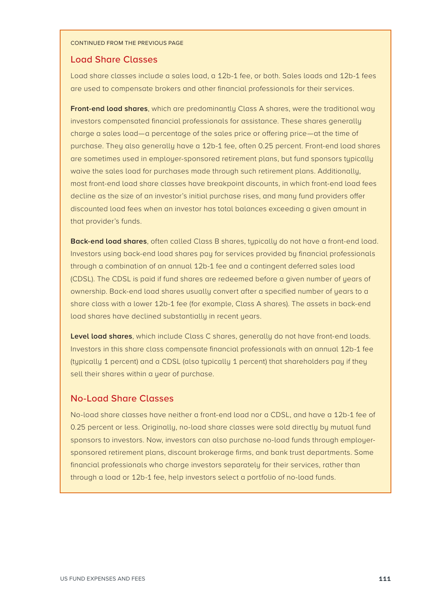#### CONTINUED FROM THE PREVIOUS PAGE

# Load Share Classes

Load share classes include a sales load, a 12b-1 fee, or both. Sales loads and 12b-1 fees are used to compensate brokers and other financial professionals for their services.

**Front-end load shares**, which are predominantly Class A shares, were the traditional way investors compensated financial professionals for assistance. These shares generally charge a sales load—a percentage of the sales price or offering price—at the time of purchase. They also generally have a 12b-1 fee, often 0.25 percent. Front-end load shares are sometimes used in employer-sponsored retirement plans, but fund sponsors typically waive the sales load for purchases made through such retirement plans. Additionally, most front-end load share classes have breakpoint discounts, in which front-end load fees decline as the size of an investor's initial purchase rises, and many fund providers offer discounted load fees when an investor has total balances exceeding a given amount in that provider's funds.

**Back-end load shares**, often called Class B shares, typically do not have a front-end load. Investors using back-end load shares pay for services provided by financial professionals through a combination of an annual 12b-1 fee and a contingent deferred sales load (CDSL). The CDSL is paid if fund shares are redeemed before a given number of years of ownership. Back-end load shares usually convert after a specified number of years to a share class with a lower 12b-1 fee (for example, Class A shares). The assets in back-end load shares have declined substantially in recent years.

**Level load shares**, which include Class C shares, generally do not have front-end loads. Investors in this share class compensate financial professionals with an annual 12b-1 fee (typically 1 percent) and a CDSL (also typically 1 percent) that shareholders pay if they sell their shares within a year of purchase.

# No-Load Share Classes

No-load share classes have neither a front-end load nor a CDSL, and have a 12b-1 fee of 0.25 percent or less. Originally, no-load share classes were sold directly by mutual fund sponsors to investors. Now, investors can also purchase no-load funds through employersponsored retirement plans, discount brokerage firms, and bank trust departments. Some financial professionals who charge investors separately for their services, rather than through a load or 12b-1 fee, help investors select a portfolio of no-load funds.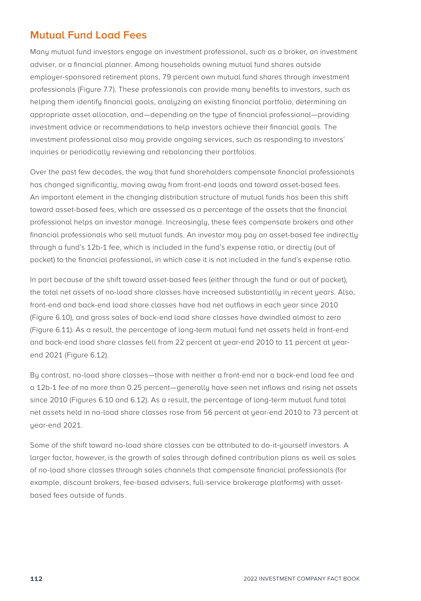# **Mutual Fund Load Fees**

Many mutual fund investors engage an investment professional, such as a broker, an investment adviser, or a financial planner. Among households owning mutual fund shares outside employer-sponsored retirement plans, 79 percent own mutual fund shares through investment professionals (Figure 7.7). These professionals can provide many benefits to investors, such as helping them identify financial goals, analyzing an existing financial portfolio, determining an appropriate asset allocation, and—depending on the type of financial professional—providing investment advice or recommendations to help investors achieve their financial goals. The investment professional also may provide ongoing services, such as responding to investors' inquiries or periodically reviewing and rebalancing their portfolios.

Over the past few decades, the way that fund shareholders compensate financial professionals has changed significantly, moving away from front-end loads and toward asset-based fees. An important element in the changing distribution structure of mutual funds has been this shift toward asset-based fees, which are assessed as a percentage of the assets that the financial professional helps an investor manage. Increasingly, these fees compensate brokers and other financial professionals who sell mutual funds. An investor may pay an asset-based fee indirectly through a fund's 12b-1 fee, which is included in the fund's expense ratio, or directly (out of pocket) to the financial professional, in which case it is not included in the fund's expense ratio.

In part because of the shift toward asset-based fees (either through the fund or out of pocket), the total net assets of no-load share classes have increased substantially in recent years. Also, front-end and back-end load share classes have had net outflows in each year since 2010 (Figure 6.10), and gross sales of back-end load share classes have dwindled almost to zero (Figure 6.11). As a result, the percentage of long-term mutual fund net assets held in front-end and back-end load share classes fell from 22 percent at year-end 2010 to 11 percent at yearend 2021 (Figure 6.12).

By contrast, no-load share classes—those with neither a front-end nor a back-end load fee and a 12b‑1 fee of no more than 0.25 percent—generally have seen net inflows and rising net assets since 2010 (Figures 6.10 and 6.12). As a result, the percentage of long-term mutual fund total net assets held in no-load share classes rose from 56 percent at year-end 2010 to 73 percent at year-end 2021.

Some of the shift toward no-load share classes can be attributed to do-it-yourself investors. A larger factor, however, is the growth of sales through defined contribution plans as well as sales of no-load share classes through sales channels that compensate financial professionals (for example, discount brokers, fee-based advisers, full-service brokerage platforms) with assetbased fees outside of funds.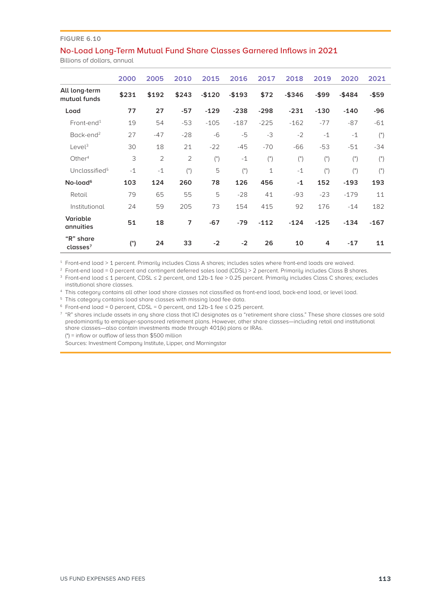### No-Load Long-Term Mutual Fund Share Classes Garnered Inflows in 2021

Billions of dollars, annual

|                                   | 2000  | 2005           | 2010               | 2015               | 2016               | 2017         | 2018      | 2019               | 2020               | 2021               |
|-----------------------------------|-------|----------------|--------------------|--------------------|--------------------|--------------|-----------|--------------------|--------------------|--------------------|
| All long-term<br>mutual funds     | \$231 | \$192          | \$243              | $-$120$            | $-$193$            | \$72         | $-$ \$346 | $-$ \$99           | $-$ \$484          | $-$ \$59           |
| Load                              | 77    | 27             | $-57$              | $-129$             | $-238$             | $-298$       | $-231$    | $-130$             | $-140$             | $-96$              |
| $Front-end1$                      | 19    | 54             | $-53$              | $-105$             | $-187$             | $-225$       | $-162$    | $-77$              | $-87$              | $-61$              |
| Back-end <sup>2</sup>             | 27    | $-47$          | $-28$              | $-6$               | $-5$               | $-3$         | $-2$      | $-1$               | $-1$               | $($ <sup>*</sup> ) |
| Level <sup>3</sup>                | 30    | 18             | 21                 | $-22$              | $-45$              | $-70$        | $-66$     | $-53$              | $-51$              | $-34$              |
| Other <sup>4</sup>                | 3     | $\overline{2}$ | $\overline{2}$     | $($ <sup>*</sup> ) | $-1$               | $(*)$        | $(*)$     | $($ <sup>*</sup> ) | $($ <sup>*</sup> ) | $($ <sup>*</sup> ) |
| Unclassified <sup>5</sup>         | $-1$  | $-1$           | $($ <sup>*</sup> ) | 5                  | $($ <sup>*</sup> ) | $\mathbf{1}$ | $-1$      | $($ <sup>*</sup> ) | $($ <sup>*</sup> ) | $($ <sup>*</sup> ) |
| No-load <sup>6</sup>              | 103   | 124            | 260                | 78                 | 126                | 456          | $-1$      | 152                | $-193$             | 193                |
| Retail                            | 79    | 65             | 55                 | 5                  | $-28$              | 41           | $-93$     | $-23$              | $-179$             | 11                 |
| Institutional                     | 24    | 59             | 205                | 73                 | 154                | 415          | 92        | 176                | $-14$              | 182                |
| Variable<br>annuities             | 51    | 18             | $\overline{7}$     | $-67$              | $-79$              | $-112$       | $-124$    | $-125$             | $-134$             | $-167$             |
| "R" share<br>classes <sup>7</sup> | $(*)$ | 24             | 33                 | $-2$               | $-2$               | 26           | 10        | 4                  | $-17$              | 11                 |

<sup>1</sup> Front-end load > 1 percent. Primarily includes Class A shares; includes sales where front-end loads are waived.

<sup>2</sup> Front-end load = 0 percent and contingent deferred sales load (CDSL) > 2 percent. Primarily includes Class B shares.

<sup>3</sup> Front-end load ≤ 1 percent, CDSL ≤ 2 percent, and 12b-1 fee > 0.25 percent. Primarily includes Class C shares; excludes institutional share classes.

<sup>4</sup> This category contains all other load share classes not classified as front-end load, back-end load, or level load.

<sup>5</sup> This category contains load share classes with missing load fee data.

 $\frac{3}{5}$  Front-end load = 0 percent, CDSL = 0 percent, and 12b-1 fee  $\leq$  0.25 percent.

<sup>7</sup> "R" shares include assets in any share class that ICI designates as a "retirement share class." These share classes are sold predominantly to employer-sponsored retirement plans. However, other share classes—including retail and institutional share classes—also contain investments made through 401(k) plans or IRAs. (\*) = inflow or outflow of less than \$500 million

Sources: Investment Company Institute, Lipper, and Morningstar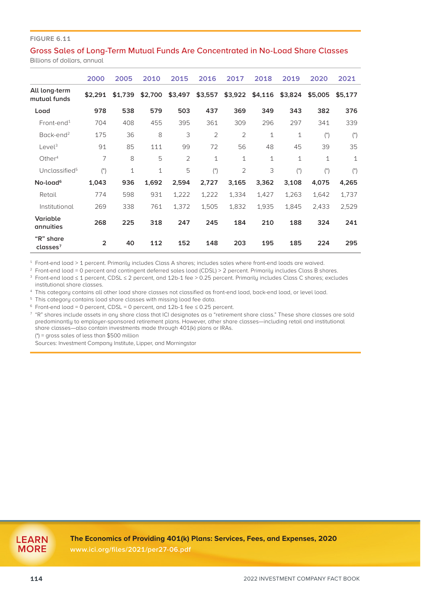### Gross Sales of Long-Term Mutual Funds Are Concentrated in No-Load Share Classes

Billions of dollars, annual

|                                   | 2000               | 2005         | 2010         | 2015           | 2016               | 2017           | 2018    | 2019               | 2020               | 2021               |
|-----------------------------------|--------------------|--------------|--------------|----------------|--------------------|----------------|---------|--------------------|--------------------|--------------------|
| All long-term<br>mutual funds     | \$2.291            | \$1.739      | \$2,700      | \$3,497        | \$3,557            | \$3,922        | \$4,116 | \$3,824            | \$5,005            | \$5,177            |
| Load                              | 978                | 538          | 579          | 503            | 437                | 369            | 349     | 343                | 382                | 376                |
| $Front-end1$                      | 704                | 408          | 455          | 395            | 361                | 309            | 296     | 297                | 341                | 339                |
| Back-end <sup>2</sup>             | 175                | 36           | 8            | 3              | $\overline{2}$     | $\overline{2}$ | 1       | 1                  | $($ <sup>*</sup> ) | $($ <sup>*</sup> ) |
| Level <sup>3</sup>                | 91                 | 85           | 111          | 99             | 72                 | 56             | 48      | 45                 | 39                 | 35                 |
| Other $4$                         | 7                  | 8            | 5            | $\overline{2}$ | $\mathbf 1$        | $\mathbf 1$    | 1       | $\mathbf 1$        | $\mathbf{1}$       | $\mathbf{1}$       |
| Unclassified <sup>5</sup>         | $($ <sup>*</sup> ) | $\mathbf{1}$ | $\mathbf{1}$ | 5              | $($ <sup>*</sup> ) | $\overline{2}$ | 3       | $($ <sup>*</sup> ) | $($ <sup>*</sup> ) | $($ <sup>*</sup> ) |
| No-load <sup>6</sup>              | 1,043              | 936          | 1,692        | 2,594          | 2,727              | 3,165          | 3,362   | 3,108              | 4,075              | 4,265              |
| Retail                            | 774                | 598          | 931          | 1,222          | 1,222              | 1,334          | 1,427   | 1,263              | 1,642              | 1,737              |
| Institutional                     | 269                | 338          | 761          | 1,372          | 1,505              | 1,832          | 1,935   | 1.845              | 2.433              | 2,529              |
| Variable<br>annuities             | 268                | 225          | 318          | 247            | 245                | 184            | 210     | 188                | 324                | 241                |
| "R" share<br>classes <sup>7</sup> | $\overline{2}$     | 40           | 112          | 152            | 148                | 203            | 195     | 185                | 224                | 295                |

<sup>1</sup> Front-end load > 1 percent. Primarily includes Class A shares; includes sales where front-end loads are waived.

<sup>2</sup> Front-end load = 0 percent and contingent deferred sales load (CDSL) > 2 percent. Primarily includes Class B shares.

<sup>3</sup> Front-end load ≤ 1 percent, CDSL ≤ 2 percent, and 12b-1 fee > 0.25 percent. Primarily includes Class C shares; excludes institutional share classes.

<sup>4</sup> This category contains all other load share classes not classified as front-end load, back-end load, or level load.

<sup>5</sup> This category contains load share classes with missing load fee data.

<sup>6</sup> Front-end load = 0 percent, CDSL = 0 percent, and 12b-1 fee ≤ 0.25 percent.

<sup>7</sup> "R" shares include assets in any share class that ICI designates as a "retirement share class." These share classes are sold predominantly to employer-sponsored retirement plans. However, other share classes—including retail and institutional share classes—also contain investments made through 401(k) plans or IRAs.

(\*) = gross sales of less than \$500 million

Sources: Investment Company Institute, Lipper, and Morningstar

**The Economics of Providing 401(k) Plans: Services, Fees, and Expenses, 2020 [www.ici.org/files/2021/per27-06.pdf](http://www.ici.org/files/2021/per27-06.pdf)**

**LEARN MORE**